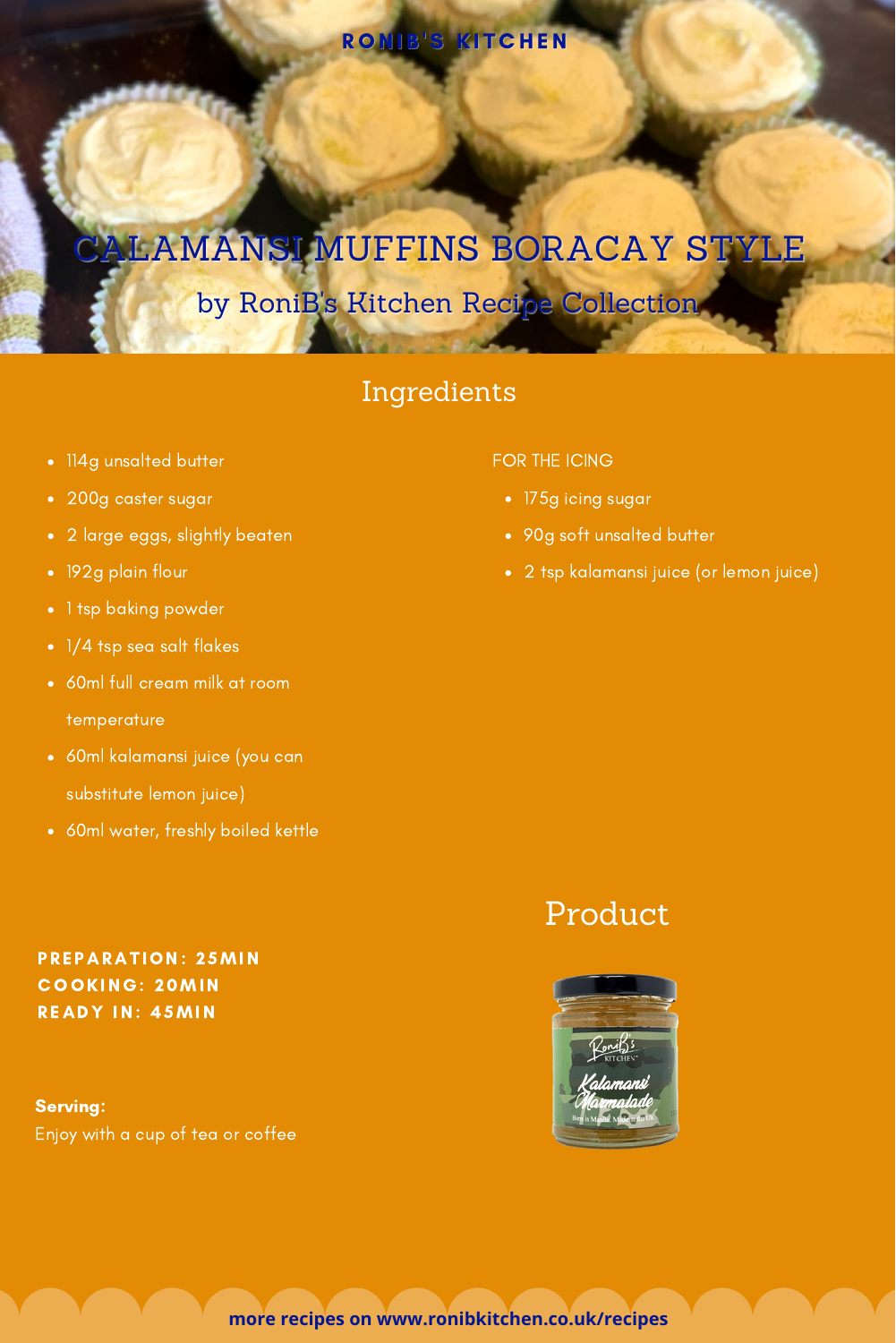### RONIB'S KITCHEN

# ALAMANSI MUFFINS BORACAY STYLE

## by RoniB's Kitchen Recipe Collection

### Ingredients

- 114g unsalted butter
- 200g caster sugar
- 2 large eggs, slightly beaten
- 192g plain flour
- 1 tsp baking powder
- 1/4 tsp sea salt flakes
- 60ml full cream milk at room temperature
- 60ml kalamansi juice (you can substitute lemon juice)
- 60ml water, freshly boiled kettle

#### FOR THE ICING

- 175g icing sugar
- 90g soft unsalted butter
- 2 tsp kalamansi juice (or lemon juice)

### Product



#### PREPARATION: 25MIN COOKING: 20MIN R EADY IN: 45MIN

Serving: Enjoy with a cup of tea or coffee

**more recipes on www.ronibkitchen.co.uk/recipes**